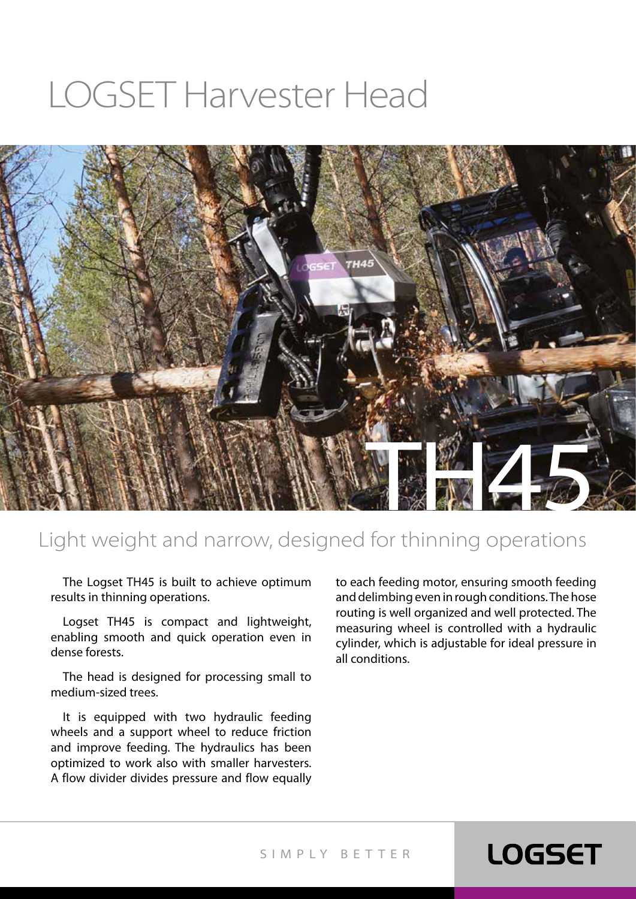# LOGSET Harvester Head



### Light weight and narrow, designed for thinning operations

The Logset TH45 is built to achieve optimum results in thinning operations.

Logset TH45 is compact and lightweight, enabling smooth and quick operation even in dense forests.

The head is designed for processing small to medium-sized trees.

It is equipped with two hydraulic feeding wheels and a support wheel to reduce friction and improve feeding. The hydraulics has been optimized to work also with smaller harvesters. A flow divider divides pressure and flow equally to each feeding motor, ensuring smooth feeding and delimbing even in rough conditions. The hose routing is well organized and well protected. The measuring wheel is controlled with a hydraulic cylinder, which is adjustable for ideal pressure in all conditions.

**LOGSET** 

#### SIMPLY BET TER